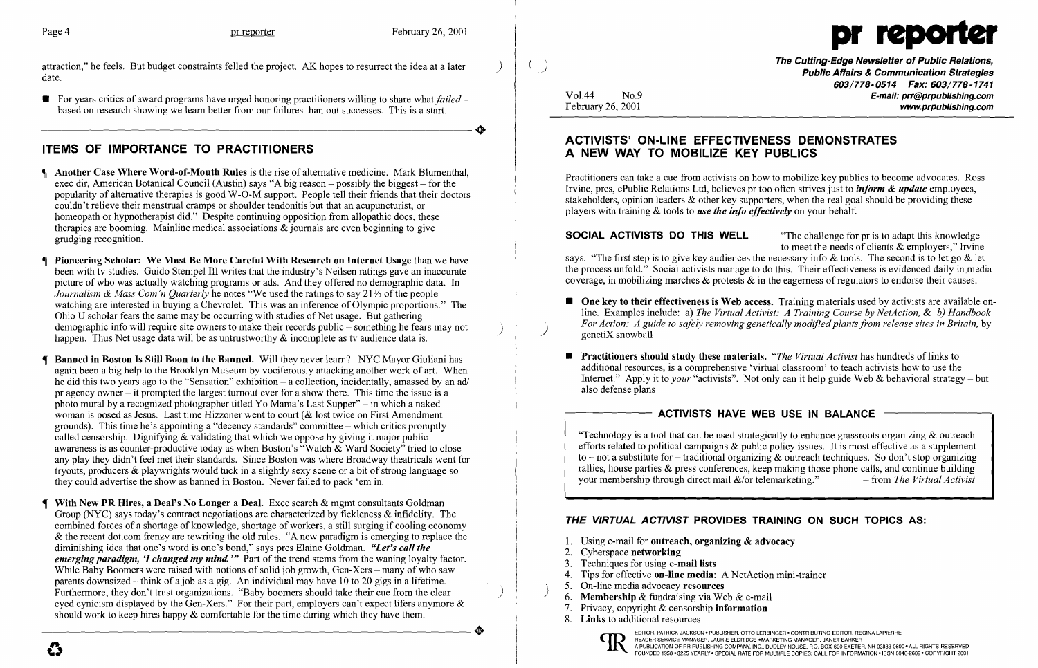attraction," he feels. But budget constraints felled the project. AK hopes to resurrect the idea at a later ) date.

**•** For years critics of award programs have urged honoring practitioners willing to share what *failed* – based on research showing we learn better from our failures than out successes. This is a start. For years critics of award programs have urged honoring practitioners willing to share what *failed* – based on research showing we learn better from our failures than out successes. This is a start.

- Another Case Where Word-of-Mouth Rules is the rise of alternative medicine. Mark Blumenthal, exec dir, American Botanical Council (Austin) says "A big reason – possibly the biggest – for the popularity of alternative therapies is good W-0-M support. People tell their friends that their doctors couldn't relieve their menstrual cramps or shoulder tendonitis but that an acupuncturist, or homeopath or hypnotherapist did." Despite continuing opposition from allopathic docs, these therapies are booming. Mainline medical associations & journals are even beginning to give grudging recognition.
- Pioneering Scholar: We Must Be More Careful With Research on Internet Usage than we have been with tv studies. Guido Stempel III writes that the industry's Neilsen ratings gave an inaccurate picture of who was actually watching programs or ads. And they offered no demographic data. In *Journalism & Mass Com'n Quarterly* he notes "We used the ratings to say 21% of the people watching are interested in buying a Chevrolet. This was an inference of Olympic proportions." The Ohio U scholar fears the same may be occurring with studies of Net usage. But gathering<br>demographic info will require site owners to make their records public – something he fears may not happen. Thus Net usage data will be as untrustworthy  $\&$  incomplete as tv audience data is.
- Banned in Boston Is Still Boon to the Banned. Will they never learn? NYC Mayor Giuliani has again been a big help to the Brooklyn Museum by vociferously attacking another work of art. When he did this two years ago to the "Sensation" exhibition  $-$  a collection, incidentally, amassed by an ad/ pr agency owner - it prompted the largest turnout ever for a show there. This time the issue is a photo mural by a recognized photographer titled Yo Mama's Last Supper" - in which a naked woman is posed as Jesus. Last time Hizzoner went to court (& lost twice on First Amendment grounds). This time he's appointing a "decency standards" committee - which critics promptly called censorship. Dignifying & validating that which we oppose by giving it major public awareness is as counter-productive today as when Boston's "Watch & Ward Society" tried to close any play they didn't feel met their standards. Since Boston was where Broadway theatricals went for tryouts, producers  $\&$  playwrights would tuck in a slightly sexy scene or a bit of strong language so they could advertise the show as banned in Boston. Never failed to pack 'em in.
- With New PR Hires, a Deal's No Longer a Deal. Exec search & mgmt consultants Goldman Group (NYC) says today's contract negotiations are characterized by fickleness & infidelity. The combined forces of a shortage of knowledge, shortage of workers, a still surging if cooling economy & the recent dot.com frenzy are rewriting the old rules. "A new paradigm is emerging to replace the diminishing idea that one's word is one's bond," says pres Elaine Goldman. *"Let's call the emerging paradigm, 'I changed my mind.* '" Part of the trend stems from the waning loyalty factor. While Baby Boomers were raised with notions of solid job growth, Gen-Xers – many of who saw parents downsized - think of a job as a gig. An individual may have 10 to 20 gigs in a lifetime. Furthermore, they don't trust organizations. "Baby boomers should take their cue from the clear eyed cynicism displayed by the Gen-Xers." For their part, employers can't expect lifers anymore & should work to keep hires happy & comfortable for the time during which they have them. should work to keep lines happy  $\alpha$  connormate for the time during which they have them.

# ITEMS OF IMPORTANCE TO PRACTITIONERS

( ) The Cutting-Edge Newsletter of Public Relations, Public Affairs & Communication Strategies 603/778-0514 Fax: 603/778-1741 Vol.44 No.9 **No.9** No.9 **E-mail: prr@prpublishing.com**<br>February 26, 2001 www.prpublishing.com

SOCIAL ACTIVISTS DO THIS WELL "The challenge for pr is to adapt this knowledge to meet the needs of clients & employers," Irvine says. "The first step is to give key audiences the necessary info & tools. The second is to let go & let the process unfold." Social activists manage to do this. Their effectiveness is evidenced daily inmedia coverage, in mobilizing marches  $\&$  protests  $\&$  in the eagerness of regulators to endorse their causes.

**• One key to their effectiveness is Web access.** Training materials used by activists are available online. Examples include: a) *The Virtual Activist: A Training Course by NetAction.* & *b) Handbook* 

additional resources, is a comprehensive 'virtual classroom' to teach activists how to use the Internet." Apply it to *your* "activists". Not only can it help guide Web & behavioral strategy – but

- *For Action: A guide to safely removing genetically modified plants from release sites in Britain, by genetiX snowball*
- **Practitioners should study these materials.** *"The Virtual Activist* has hundreds of links to also defense plans

## - ACTIVISTS HAVE WEB USE IN BALANCE

"Technology is a tool that can be used strategically to enhance grassroots organizing  $\&$  outreach efforts related to political campaigns & public policy issues. It is most effective as a supplement to – not a substitute for – traditional organizing  $\&$  outreach techniques. So don't stop organizing rallies, house parties & press conferences, keep making those phone calls, and continue building your membership through direct mail  $\&$ /or telemarketing." - from *The Virtual Activist* 

- 1. Using e-mail for outreach, organizing  $\&$  advocacy
- 2. Cyberspace networking
- 3. Techniques for using e-mail lists
- 4. Tips for effective on-line media: A NetAction mini-trainer
- $\begin{pmatrix} 1 & 1 \\ 1 & 1 \end{pmatrix}$  5. On-line media advocacy resources
	- 6. Membership & fundraising via Web & e-mail
	- 7. Privacy, copyright & censorship information
	- 8. Links to additional resources



### ACTIVISTS' ON-LINE EFFECTIVENESS DEMONSTRATES A NEW WAY TO MOBILIZE KEY PUBLICS

Practitioners can take a cue from activists on how to mobilize key publics to become advocates. Ross Irvine, pres, ePublic Relations Ltd, believes pr too often strives just to *inform* & *update* employees, stakeholders, opinion leaders & other key supporters, when the real goal should be providing these players with training & tools to *use the info effectively* on your behalf.

### THE VIRTUAL ACTIVIST PROVIDES TRAINING ON SUCH TOPICS AS:

I